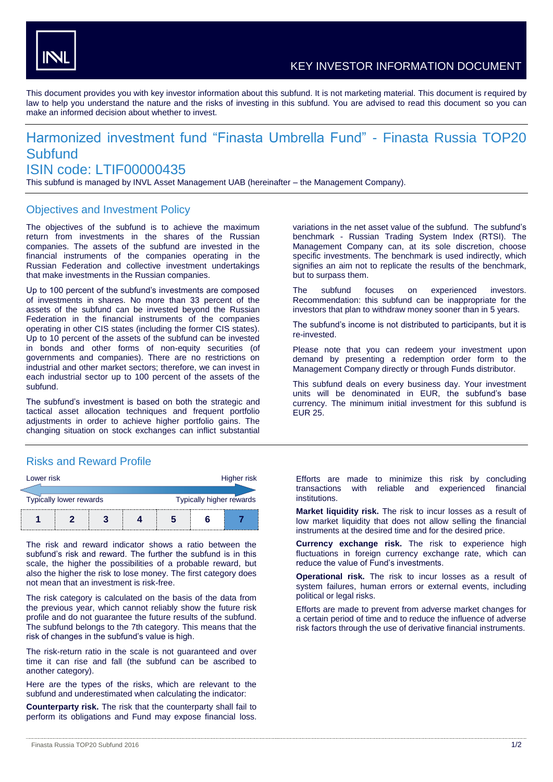

This document provides you with key investor information about this subfund. It is not marketing material. This document is required by law to help you understand the nature and the risks of investing in this subfund. You are advised to read this document so you can make an informed decision about whether to invest.

# Harmonized investment fund "Finasta Umbrella Fund" - Finasta Russia TOP20 **Subfund**

## ISIN code: LTIF00000435

This subfund is managed by INVL Asset Management UAB (hereinafter – the Management Company).

#### Objectives and Investment Policy

The objectives of the subfund is to achieve the maximum return from investments in the shares of the Russian companies. The assets of the subfund are invested in the financial instruments of the companies operating in the Russian Federation and collective investment undertakings that make investments in the Russian companies.

Up to 100 percent of the subfund's investments are composed of investments in shares. No more than 33 percent of the assets of the subfund can be invested beyond the Russian Federation in the financial instruments of the companies operating in other CIS states (including the former CIS states). Up to 10 percent of the assets of the subfund can be invested in bonds and other forms of non-equity securities (of governments and companies). There are no restrictions on industrial and other market sectors; therefore, we can invest in each industrial sector up to 100 percent of the assets of the subfund.

The subfund's investment is based on both the strategic and tactical asset allocation techniques and frequent portfolio adjustments in order to achieve higher portfolio gains. The changing situation on stock exchanges can inflict substantial

### Risks and Reward Profile

| Lower risk              |  |  |  |                          |  | Higher risk |
|-------------------------|--|--|--|--------------------------|--|-------------|
| Typically lower rewards |  |  |  | Typically higher rewards |  |             |
|                         |  |  |  |                          |  |             |

The risk and reward indicator shows a ratio between the subfund's risk and reward. The further the subfund is in this scale, the higher the possibilities of a probable reward, but also the higher the risk to lose money. The first category does not mean that an investment is risk-free.

The risk category is calculated on the basis of the data from the previous year, which cannot reliably show the future risk profile and do not guarantee the future results of the subfund. The subfund belongs to the 7th category. This means that the risk of changes in the subfund's value is high.

The risk-return ratio in the scale is not guaranteed and over time it can rise and fall (the subfund can be ascribed to another category).

Here are the types of the risks, which are relevant to the subfund and underestimated when calculating the indicator:

**Counterparty risk.** The risk that the counterparty shall fail to perform its obligations and Fund may expose financial loss.

variations in the net asset value of the subfund. The subfund's benchmark - Russian Trading System Index (RTSI). The Management Company can, at its sole discretion, choose specific investments. The benchmark is used indirectly, which signifies an aim not to replicate the results of the benchmark, but to surpass them.

The subfund focuses on experienced investors. Recommendation: this subfund can be inappropriate for the investors that plan to withdraw money sooner than in 5 years.

The subfund's income is not distributed to participants, but it is re-invested.

Please note that you can redeem your investment upon demand by presenting a redemption order form to the Management Company directly or through Funds distributor.

This subfund deals on every business day. Your investment units will be denominated in EUR, the subfund's base currency. The minimum initial investment for this subfund is EUR 25.

Efforts are made to minimize this risk by concluding transactions with reliable and experienced financial institutions.

**Market liquidity risk.** The risk to incur losses as a result of low market liquidity that does not allow selling the financial instruments at the desired time and for the desired price.

**Currency exchange risk.** The risk to experience high fluctuations in foreign currency exchange rate, which can reduce the value of Fund's investments.

**Operational risk.** The risk to incur losses as a result of system failures, human errors or external events, including political or legal risks.

Efforts are made to prevent from adverse market changes for a certain period of time and to reduce the influence of adverse risk factors through the use of derivative financial instruments.